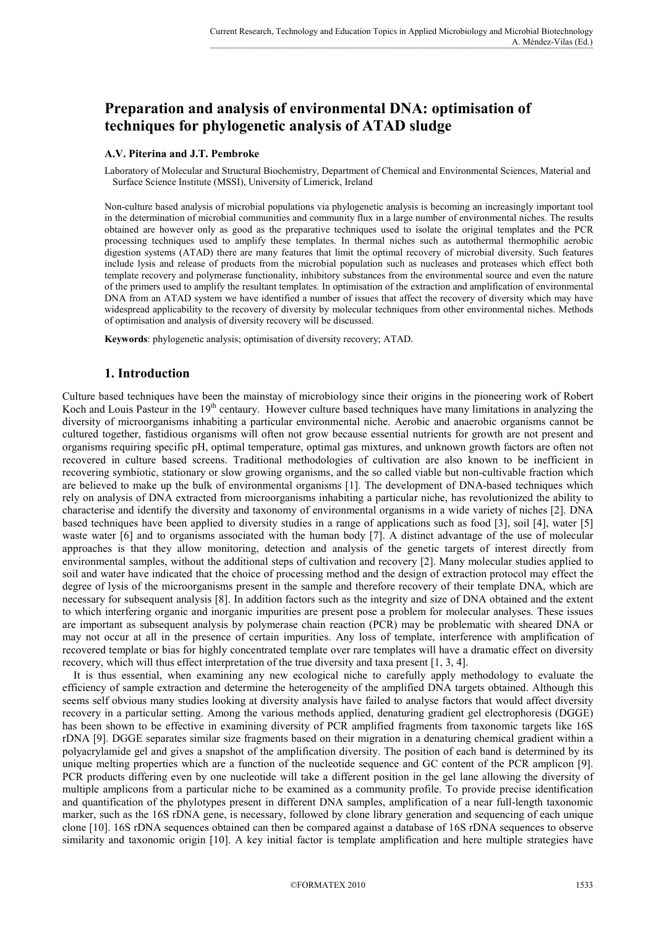# **Preparation and analysis of environmental DNA: optimisation of techniques for phylogenetic analysis of ATAD sludge**

#### **A.V. Piterina and J.T. Pembroke**

Laboratory of Molecular and Structural Biochemistry, Department of Chemical and Environmental Sciences, Material and Surface Science Institute (MSSI), University of Limerick, Ireland

Non-culture based analysis of microbial populations via phylogenetic analysis is becoming an increasingly important tool in the determination of microbial communities and community flux in a large number of environmental niches. The results obtained are however only as good as the preparative techniques used to isolate the original templates and the PCR processing techniques used to amplify these templates. In thermal niches such as autothermal thermophilic aerobic digestion systems (ATAD) there are many features that limit the optimal recovery of microbial diversity. Such features include lysis and release of products from the microbial population such as nucleases and proteases which effect both template recovery and polymerase functionality, inhibitory substances from the environmental source and even the nature of the primers used to amplify the resultant templates. In optimisation of the extraction and amplification of environmental DNA from an ATAD system we have identified a number of issues that affect the recovery of diversity which may have widespread applicability to the recovery of diversity by molecular techniques from other environmental niches. Methods of optimisation and analysis of diversity recovery will be discussed.

**Keywords**: phylogenetic analysis; optimisation of diversity recovery; ATAD.

## **1. Introduction**

Culture based techniques have been the mainstay of microbiology since their origins in the pioneering work of Robert Koch and Louis Pasteur in the 19<sup>th</sup> centaury. However culture based techniques have many limitations in analyzing the diversity of microorganisms inhabiting a particular environmental niche. Aerobic and anaerobic organisms cannot be cultured together, fastidious organisms will often not grow because essential nutrients for growth are not present and organisms requiring specific pH, optimal temperature, optimal gas mixtures, and unknown growth factors are often not recovered in culture based screens. Traditional methodologies of cultivation are also known to be inefficient in recovering symbiotic, stationary or slow growing organisms, and the so called viable but non-cultivable fraction which are believed to make up the bulk of environmental organisms [1]. The development of DNA-based techniques which rely on analysis of DNA extracted from microorganisms inhabiting a particular niche, has revolutionized the ability to characterise and identify the diversity and taxonomy of environmental organisms in a wide variety of niches [2]. DNA based techniques have been applied to diversity studies in a range of applications such as food [3], soil [4], water [5] waste water [6] and to organisms associated with the human body [7]. A distinct advantage of the use of molecular approaches is that they allow monitoring, detection and analysis of the genetic targets of interest directly from environmental samples, without the additional steps of cultivation and recovery [2]. Many molecular studies applied to soil and water have indicated that the choice of processing method and the design of extraction protocol may effect the degree of lysis of the microorganisms present in the sample and therefore recovery of their template DNA, which are necessary for subsequent analysis [8]. In addition factors such as the integrity and size of DNA obtained and the extent to which interfering organic and inorganic impurities are present pose a problem for molecular analyses. These issues are important as subsequent analysis by polymerase chain reaction (PCR) may be problematic with sheared DNA or may not occur at all in the presence of certain impurities. Any loss of template, interference with amplification of recovered template or bias for highly concentrated template over rare templates will have a dramatic effect on diversity recovery, which will thus effect interpretation of the true diversity and taxa present [1, 3, 4].

 It is thus essential, when examining any new ecological niche to carefully apply methodology to evaluate the efficiency of sample extraction and determine the heterogeneity of the amplified DNA targets obtained. Although this seems self obvious many studies looking at diversity analysis have failed to analyse factors that would affect diversity recovery in a particular setting. Among the various methods applied, denaturing gradient gel electrophoresis (DGGE) has been shown to be effective in examining diversity of PCR amplified fragments from taxonomic targets like 16S rDNA [9]. DGGE separates similar size fragments based on their migration in a denaturing chemical gradient within a polyacrylamide gel and gives a snapshot of the amplification diversity. The position of each band is determined by its unique melting properties which are a function of the nucleotide sequence and GC content of the PCR amplicon [9]. PCR products differing even by one nucleotide will take a different position in the gel lane allowing the diversity of multiple amplicons from a particular niche to be examined as a community profile. To provide precise identification and quantification of the phylotypes present in different DNA samples, amplification of a near full-length taxonomic marker, such as the 16S rDNA gene, is necessary, followed by clone library generation and sequencing of each unique clone [10]. 16S rDNA sequences obtained can then be compared against a database of 16S rDNA sequences to observe similarity and taxonomic origin [10]. A key initial factor is template amplification and here multiple strategies have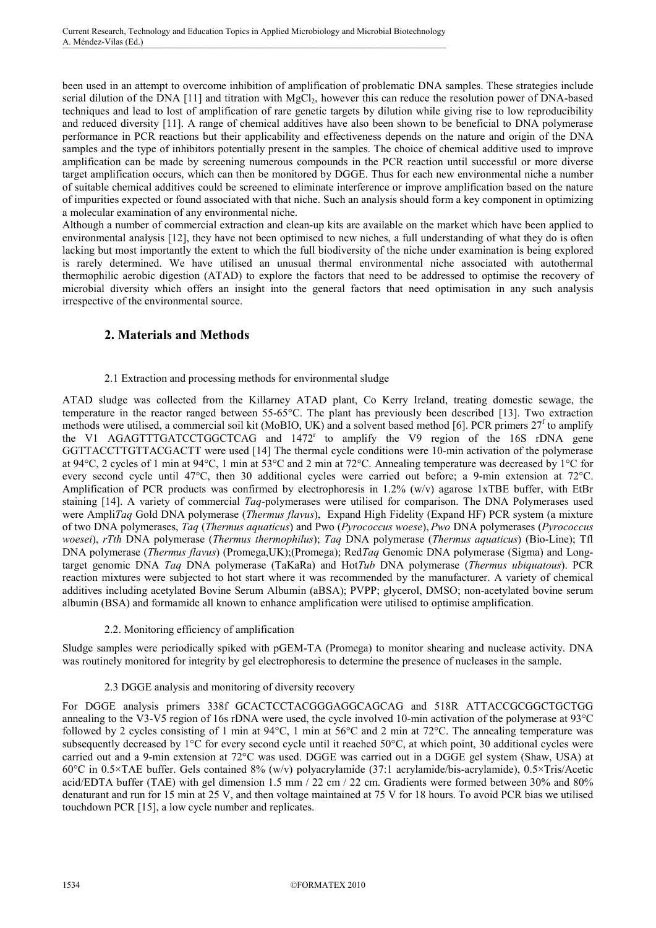been used in an attempt to overcome inhibition of amplification of problematic DNA samples. These strategies include serial dilution of the DNA  $[11]$  and titration with MgCl<sub>2</sub>, however this can reduce the resolution power of DNA-based techniques and lead to lost of amplification of rare genetic targets by dilution while giving rise to low reproducibility and reduced diversity [11]. A range of chemical additives have also been shown to be beneficial to DNA polymerase performance in PCR reactions but their applicability and effectiveness depends on the nature and origin of the DNA samples and the type of inhibitors potentially present in the samples. The choice of chemical additive used to improve amplification can be made by screening numerous compounds in the PCR reaction until successful or more diverse target amplification occurs, which can then be monitored by DGGE. Thus for each new environmental niche a number of suitable chemical additives could be screened to eliminate interference or improve amplification based on the nature of impurities expected or found associated with that niche. Such an analysis should form a key component in optimizing a molecular examination of any environmental niche.

Although a number of commercial extraction and clean-up kits are available on the market which have been applied to environmental analysis [12], they have not been optimised to new niches, a full understanding of what they do is often lacking but most importantly the extent to which the full biodiversity of the niche under examination is being explored is rarely determined. We have utilised an unusual thermal environmental niche associated with autothermal thermophilic aerobic digestion (ATAD) to explore the factors that need to be addressed to optimise the recovery of microbial diversity which offers an insight into the general factors that need optimisation in any such analysis irrespective of the environmental source.

# **2. Materials and Methods**

#### 2.1 Extraction and processing methods for environmental sludge

ATAD sludge was collected from the Killarney ATAD plant, Co Kerry Ireland, treating domestic sewage, the temperature in the reactor ranged between 55-65°C. The plant has previously been described [13]. Two extraction methods were utilised, a commercial soil kit (MoBIO, UK) and a solvent based method [6]. PCR primers  $27^f$  to amplify the V1 AGAGTTTGATCCTGGCTCAG and 1472<sup>r</sup> to amplify the V9 region of the 16S rDNA gene GGTTACCTTGTTACGACTT were used [14] The thermal cycle conditions were 10-min activation of the polymerase at 94°C, 2 cycles of 1 min at 94°C, 1 min at 53°C and 2 min at 72°C. Annealing temperature was decreased by 1°C for every second cycle until 47°C, then 30 additional cycles were carried out before; a 9-min extension at 72°C. Amplification of PCR products was confirmed by electrophoresis in 1.2% (w/v) agarose 1xTBE buffer, with EtBr staining [14]. A variety of commercial *Taq*-polymerases were utilised for comparison. The DNA Polymerases used were Ampli*Taq* Gold DNA polymerase (*Thermus flavus*), Expand High Fidelity (Expand HF) PCR system (a mixture of two DNA polymerases, *Taq* (*Thermus aquaticus*) and Pwo (*Pyrococcus woese*), *Pwo* DNA polymerases (*Pyrococcus woesei*), *rTth* DNA polymerase (*Thermus thermophilus*); *Taq* DNA polymerase (*Thermus aquaticus*) (Bio-Line); Tfl DNA polymerase (*Thermus flavus*) (Promega,UK);(Promega); Red*Taq* Genomic DNA polymerase (Sigma) and Longtarget genomic DNA *Taq* DNA polymerase (TaKaRa) and Hot*Tub* DNA polymerase (*Thermus ubiquatous*). PCR reaction mixtures were subjected to hot start where it was recommended by the manufacturer. A variety of chemical additives including acetylated Bovine Serum Albumin (aBSA); PVPP; glycerol, DMSO; non-acetylated bovine serum albumin (BSA) and formamide all known to enhance amplification were utilised to optimise amplification.

## 2.2. Monitoring efficiency of amplification

Sludge samples were periodically spiked with pGEM-TA (Promega) to monitor shearing and nuclease activity. DNA was routinely monitored for integrity by gel electrophoresis to determine the presence of nucleases in the sample.

## 2.3 DGGE analysis and monitoring of diversity recovery

For DGGE analysis primers 338f GCACTCCTACGGGAGGCAGCAG and 518R ATTACCGCGGCTGCTGG annealing to the V3-V5 region of 16s rDNA were used, the cycle involved 10-min activation of the polymerase at 93°C followed by 2 cycles consisting of 1 min at 94°C, 1 min at 56°C and 2 min at 72°C. The annealing temperature was subsequently decreased by 1°C for every second cycle until it reached 50°C, at which point, 30 additional cycles were carried out and a 9-min extension at 72°C was used. DGGE was carried out in a DGGE gel system (Shaw, USA) at 60°C in 0.5×TAE buffer. Gels contained 8% (w/v) polyacrylamide (37:1 acrylamide/bis-acrylamide), 0.5×Tris/Acetic acid/EDTA buffer (TAE) with gel dimension 1.5 mm / 22 cm / 22 cm. Gradients were formed between 30% and 80% denaturant and run for 15 min at 25 V, and then voltage maintained at 75 V for 18 hours. To avoid PCR bias we utilised touchdown PCR [15], a low cycle number and replicates.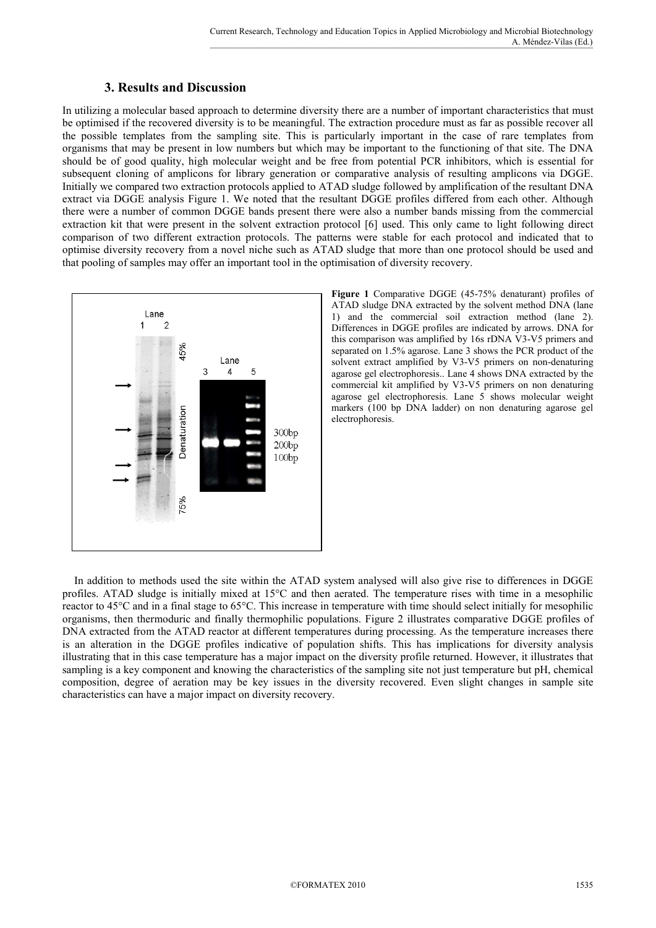# **3. Results and Discussion**

In utilizing a molecular based approach to determine diversity there are a number of important characteristics that must be optimised if the recovered diversity is to be meaningful. The extraction procedure must as far as possible recover all the possible templates from the sampling site. This is particularly important in the case of rare templates from organisms that may be present in low numbers but which may be important to the functioning of that site. The DNA should be of good quality, high molecular weight and be free from potential PCR inhibitors, which is essential for subsequent cloning of amplicons for library generation or comparative analysis of resulting amplicons via DGGE. Initially we compared two extraction protocols applied to ATAD sludge followed by amplification of the resultant DNA extract via DGGE analysis Figure 1. We noted that the resultant DGGE profiles differed from each other. Although there were a number of common DGGE bands present there were also a number bands missing from the commercial extraction kit that were present in the solvent extraction protocol [6] used. This only came to light following direct comparison of two different extraction protocols. The patterns were stable for each protocol and indicated that to optimise diversity recovery from a novel niche such as ATAD sludge that more than one protocol should be used and that pooling of samples may offer an important tool in the optimisation of diversity recovery.



**Figure 1** Comparative DGGE (45-75% denaturant) profiles of ATAD sludge DNA extracted by the solvent method DNA (lane 1) and the commercial soil extraction method (lane 2). Differences in DGGE profiles are indicated by arrows. DNA for this comparison was amplified by 16s rDNA V3-V5 primers and separated on 1.5% agarose. Lane 3 shows the PCR product of the solvent extract amplified by V3-V5 primers on non-denaturing agarose gel electrophoresis.. Lane 4 shows DNA extracted by the commercial kit amplified by V3-V5 primers on non denaturing agarose gel electrophoresis. Lane 5 shows molecular weight markers (100 bp DNA ladder) on non denaturing agarose gel electrophoresis.

 In addition to methods used the site within the ATAD system analysed will also give rise to differences in DGGE profiles. ATAD sludge is initially mixed at 15°C and then aerated. The temperature rises with time in a mesophilic reactor to 45°C and in a final stage to 65°C. This increase in temperature with time should select initially for mesophilic organisms, then thermoduric and finally thermophilic populations. Figure 2 illustrates comparative DGGE profiles of DNA extracted from the ATAD reactor at different temperatures during processing. As the temperature increases there is an alteration in the DGGE profiles indicative of population shifts. This has implications for diversity analysis illustrating that in this case temperature has a major impact on the diversity profile returned. However, it illustrates that sampling is a key component and knowing the characteristics of the sampling site not just temperature but pH, chemical composition, degree of aeration may be key issues in the diversity recovered. Even slight changes in sample site characteristics can have a major impact on diversity recovery.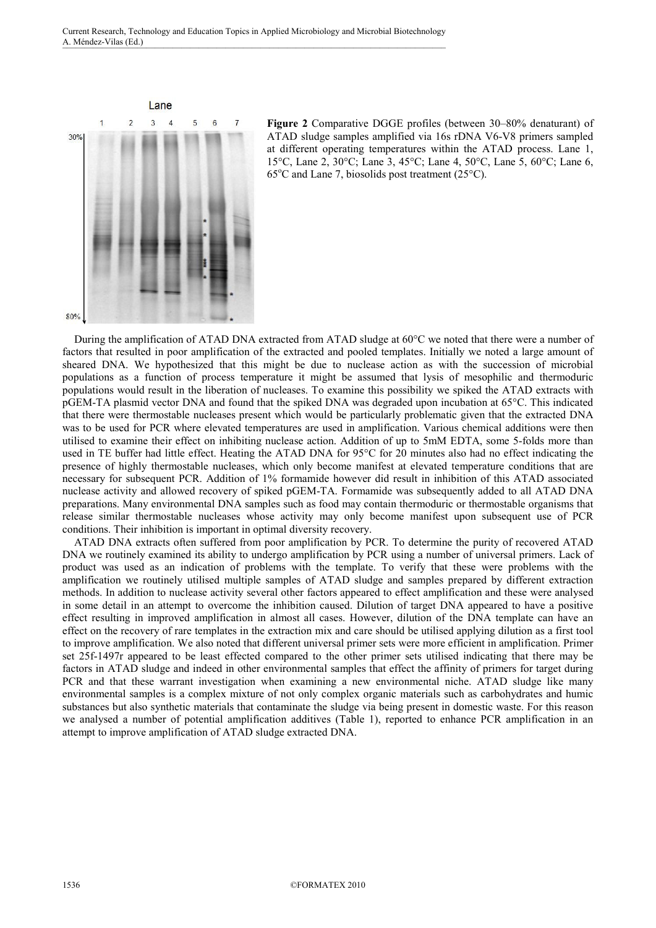

**Figure 2** Comparative DGGE profiles (between 30–80% denaturant) of ATAD sludge samples amplified via 16s rDNA V6-V8 primers sampled at different operating temperatures within the ATAD process. Lane 1, 15°C, Lane 2, 30°C; Lane 3, 45°C; Lane 4, 50°C, Lane 5, 60°C; Lane 6,  $65^{\circ}$ C and Lane 7, biosolids post treatment (25 $^{\circ}$ C).

 During the amplification of ATAD DNA extracted from ATAD sludge at 60°C we noted that there were a number of factors that resulted in poor amplification of the extracted and pooled templates. Initially we noted a large amount of sheared DNA. We hypothesized that this might be due to nuclease action as with the succession of microbial populations as a function of process temperature it might be assumed that lysis of mesophilic and thermoduric populations would result in the liberation of nucleases. To examine this possibility we spiked the ATAD extracts with pGEM-TA plasmid vector DNA and found that the spiked DNA was degraded upon incubation at 65°C. This indicated that there were thermostable nucleases present which would be particularly problematic given that the extracted DNA was to be used for PCR where elevated temperatures are used in amplification. Various chemical additions were then utilised to examine their effect on inhibiting nuclease action. Addition of up to 5mM EDTA, some 5-folds more than used in TE buffer had little effect. Heating the ATAD DNA for 95°C for 20 minutes also had no effect indicating the presence of highly thermostable nucleases, which only become manifest at elevated temperature conditions that are necessary for subsequent PCR. Addition of 1% formamide however did result in inhibition of this ATAD associated nuclease activity and allowed recovery of spiked pGEM-TA. Formamide was subsequently added to all ATAD DNA preparations. Many environmental DNA samples such as food may contain thermoduric or thermostable organisms that release similar thermostable nucleases whose activity may only become manifest upon subsequent use of PCR conditions. Their inhibition is important in optimal diversity recovery.

 ATAD DNA extracts often suffered from poor amplification by PCR. To determine the purity of recovered ATAD DNA we routinely examined its ability to undergo amplification by PCR using a number of universal primers. Lack of product was used as an indication of problems with the template. To verify that these were problems with the amplification we routinely utilised multiple samples of ATAD sludge and samples prepared by different extraction methods. In addition to nuclease activity several other factors appeared to effect amplification and these were analysed in some detail in an attempt to overcome the inhibition caused. Dilution of target DNA appeared to have a positive effect resulting in improved amplification in almost all cases. However, dilution of the DNA template can have an effect on the recovery of rare templates in the extraction mix and care should be utilised applying dilution as a first tool to improve amplification. We also noted that different universal primer sets were more efficient in amplification. Primer set 25f-1497r appeared to be least effected compared to the other primer sets utilised indicating that there may be factors in ATAD sludge and indeed in other environmental samples that effect the affinity of primers for target during PCR and that these warrant investigation when examining a new environmental niche. ATAD sludge like many environmental samples is a complex mixture of not only complex organic materials such as carbohydrates and humic substances but also synthetic materials that contaminate the sludge via being present in domestic waste. For this reason we analysed a number of potential amplification additives (Table 1), reported to enhance PCR amplification in an attempt to improve amplification of ATAD sludge extracted DNA.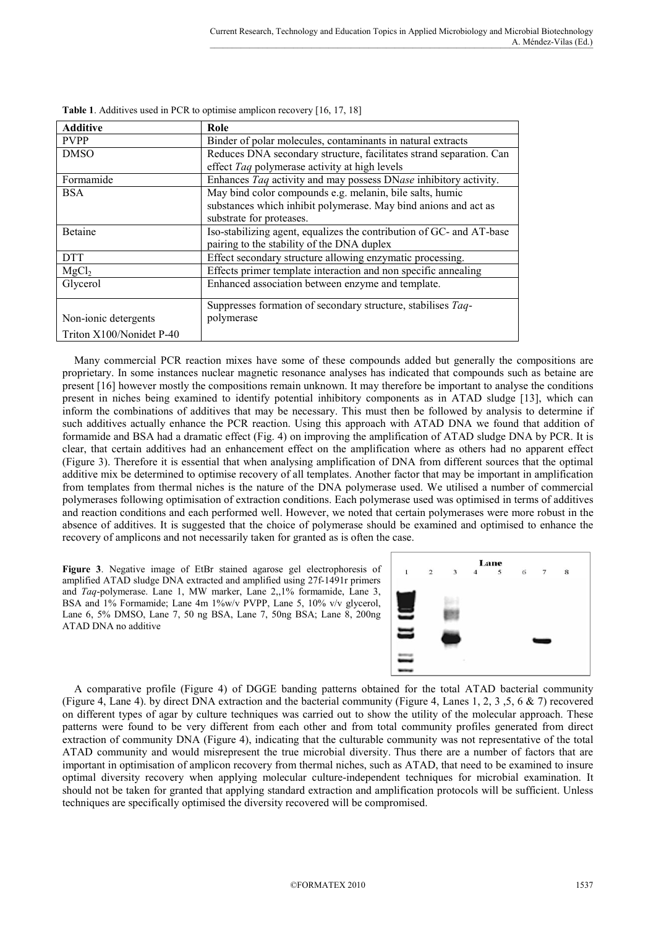| <b>Additive</b>          | Role                                                                 |
|--------------------------|----------------------------------------------------------------------|
| <b>PVPP</b>              | Binder of polar molecules, contaminants in natural extracts          |
| <b>DMSO</b>              | Reduces DNA secondary structure, facilitates strand separation. Can  |
|                          | effect Taq polymerase activity at high levels                        |
| Formamide                | Enhances Taq activity and may possess DNase inhibitory activity.     |
| <b>BSA</b>               | May bind color compounds e.g. melanin, bile salts, humic             |
|                          | substances which inhibit polymerase. May bind anions and act as      |
|                          | substrate for proteases.                                             |
| Betaine                  | Iso-stabilizing agent, equalizes the contribution of GC- and AT-base |
|                          | pairing to the stability of the DNA duplex                           |
| <b>DTT</b>               | Effect secondary structure allowing enzymatic processing.            |
| MgCl <sub>2</sub>        | Effects primer template interaction and non specific annealing       |
| Glycerol                 | Enhanced association between enzyme and template.                    |
|                          | Suppresses formation of secondary structure, stabilises Taq-         |
| Non-ionic detergents     | polymerase                                                           |
| Triton X100/Nonidet P-40 |                                                                      |

**Table 1**. Additives used in PCR to optimise amplicon recovery [16, 17, 18]

 Many commercial PCR reaction mixes have some of these compounds added but generally the compositions are proprietary. In some instances nuclear magnetic resonance analyses has indicated that compounds such as betaine are present [16] however mostly the compositions remain unknown. It may therefore be important to analyse the conditions present in niches being examined to identify potential inhibitory components as in ATAD sludge [13], which can inform the combinations of additives that may be necessary. This must then be followed by analysis to determine if such additives actually enhance the PCR reaction. Using this approach with ATAD DNA we found that addition of formamide and BSA had a dramatic effect (Fig. 4) on improving the amplification of ATAD sludge DNA by PCR. It is clear, that certain additives had an enhancement effect on the amplification where as others had no apparent effect (Figure 3). Therefore it is essential that when analysing amplification of DNA from different sources that the optimal additive mix be determined to optimise recovery of all templates. Another factor that may be important in amplification from templates from thermal niches is the nature of the DNA polymerase used. We utilised a number of commercial polymerases following optimisation of extraction conditions. Each polymerase used was optimised in terms of additives and reaction conditions and each performed well. However, we noted that certain polymerases were more robust in the absence of additives. It is suggested that the choice of polymerase should be examined and optimised to enhance the recovery of amplicons and not necessarily taken for granted as is often the case.

**Figure 3**. Negative image of EtBr stained agarose gel electrophoresis of amplified ATAD sludge DNA extracted and amplified using 27f-1491r primers and *Taq*-polymerase. Lane 1, MW marker, Lane 2,,1% formamide, Lane 3, BSA and 1% Formamide; Lane 4m 1%w/v PVPP, Lane 5, 10% v/v glycerol, Lane 6, 5% DMSO, Lane 7, 50 ng BSA, Lane 7, 50ng BSA; Lane 8, 200ng ATAD DNA no additive



 A comparative profile (Figure 4) of DGGE banding patterns obtained for the total ATAD bacterial community (Figure 4, Lane 4). by direct DNA extraction and the bacterial community (Figure 4, Lanes 1, 2, 3, 5, 6 & 7) recovered on different types of agar by culture techniques was carried out to show the utility of the molecular approach. These patterns were found to be very different from each other and from total community profiles generated from direct extraction of community DNA (Figure 4), indicating that the culturable community was not representative of the total ATAD community and would misrepresent the true microbial diversity. Thus there are a number of factors that are important in optimisation of amplicon recovery from thermal niches, such as ATAD, that need to be examined to insure optimal diversity recovery when applying molecular culture-independent techniques for microbial examination. It should not be taken for granted that applying standard extraction and amplification protocols will be sufficient. Unless techniques are specifically optimised the diversity recovered will be compromised.